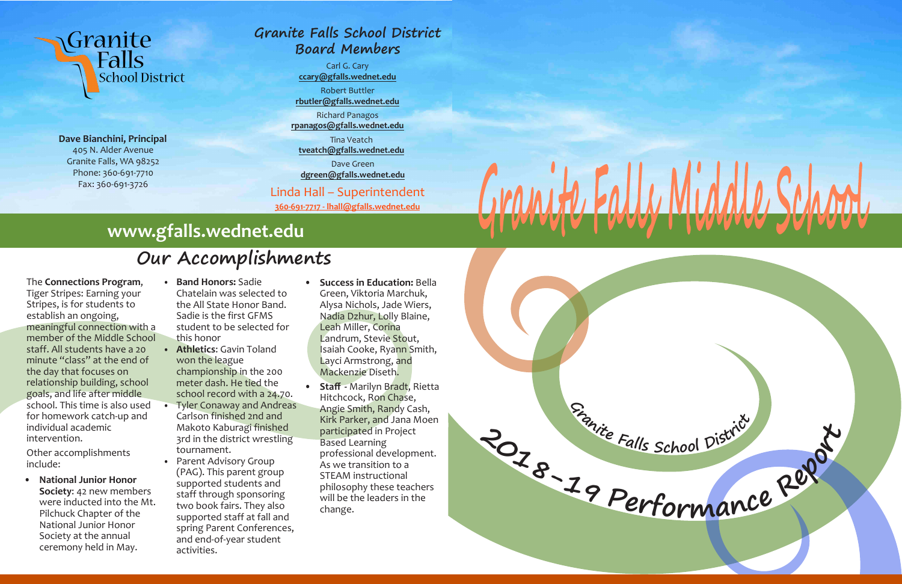### **Granite Falls School District Board Members**

Carl G. Cary **ccary@gfalls.wednet.edu** Robert Buttler

**rbutler@gfalls.wednet.edu**

Richard Panagos **rpanagos@gfalls.wednet.edu**

Tina Veatch

**tveatch@gfalls.wednet.edu**

Dave Green **dgreen@gfalls.wednet.edu**

Linda Hall – Superintendent **360-691-7717 - lhall@gfalls.wednet.edu**

# Granite<br>Talls **School District**

**Dave Bianchini, Principal** 405 N. Alder Avenue Granite Falls, WA 98252 Phone: 360-691-7710 Fax: 360-691-3726

The **Connections Program**, Tiger Stripes: Earning your Stripes, is for students to establish an ongoing, meaningful connection with a member of the Middle School staff. All students have a 20 minute "class" at the end of the day that focuses on relationship building, school goals, and life after middle school. This time is also used for homework catch-up and individual academic intervention.

Other accomplishments include:

**• National Junior Honor Society**: 42 new members were inducted into the Mt. Pilchuck Chapter of the National Junior Honor Society at the annual ceremony held in May.

**• Band Honors:** Sadie Chatelain was selected to the All State Honor Band. Sadie is the first GFMS student to be selected for this honor

- **• Athletics**: Gavin Toland won the league championship in the 200 meter dash. He tied the school record with a 24.70.
- **•** Tyler Conaway and Andreas Carlson finished 2nd and Makoto Kaburagi finished 3rd in the district wrestling tournament.
- **•** Parent Advisory Group (PAG). This parent group supported students and staff through sponsoring two book fairs. They also supported staff at fall and spring Parent Conferences, and end-of-year student activities.
- **Success in Education:** Bella Green, Viktoria Marchuk, Alysa Nichols, Jade Wiers, Nadia Dzhur, Lolly Blaine, Leah Miller, Corina Landrum, Stevie Stout, Isaiah Cooke, Ryann Smith, Layci Armstrong, and Mackenzie Diseth.
- **• Staff** Marilyn Bradt, Rietta Hitchcock, Ron Chase, Angie Smith, Randy Cash, Kirk Parker, and Jana Moen participated in Project Based Learning professional development. As we transition to a STEAM instructional philosophy these teachers will be the leaders in the change.

## **Our Accomplishments**

## **www.gfalls.wednet.edu**